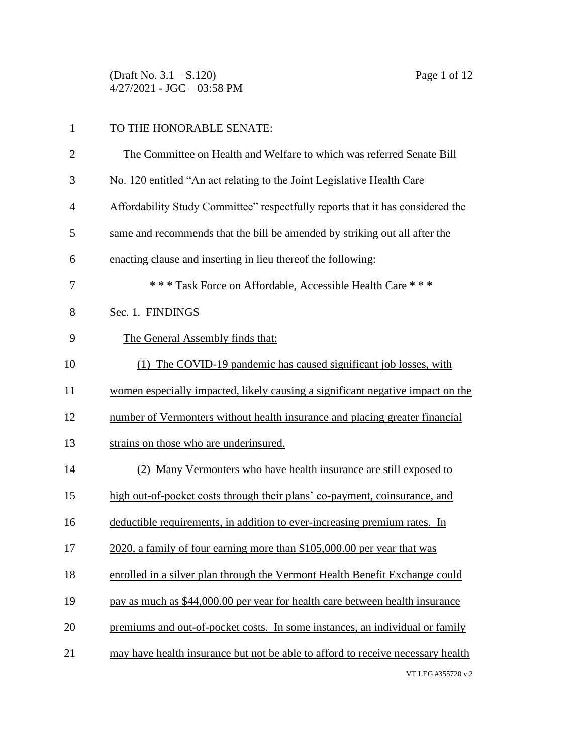(Draft No. 3.1 – S.120) Page 1 of 12  $4/27/2021$  - JGC - 03:58 PM

| $\mathbf{1}$   | TO THE HONORABLE SENATE:                                                        |
|----------------|---------------------------------------------------------------------------------|
| $\overline{2}$ | The Committee on Health and Welfare to which was referred Senate Bill           |
| 3              | No. 120 entitled "An act relating to the Joint Legislative Health Care          |
| 4              | Affordability Study Committee" respectfully reports that it has considered the  |
| 5              | same and recommends that the bill be amended by striking out all after the      |
| 6              | enacting clause and inserting in lieu thereof the following:                    |
| 7              | *** Task Force on Affordable, Accessible Health Care ***                        |
| 8              | Sec. 1. FINDINGS                                                                |
| 9              | The General Assembly finds that:                                                |
| 10             | (1) The COVID-19 pandemic has caused significant job losses, with               |
| 11             | women especially impacted, likely causing a significant negative impact on the  |
| 12             | number of Vermonters without health insurance and placing greater financial     |
| 13             | strains on those who are underinsured.                                          |
| 14             | (2) Many Vermonters who have health insurance are still exposed to              |
| 15             | high out-of-pocket costs through their plans' co-payment, coinsurance, and      |
| 16             | deductible requirements, in addition to ever-increasing premium rates. In       |
| 17             | 2020, a family of four earning more than \$105,000.00 per year that was         |
| 18             | enrolled in a silver plan through the Vermont Health Benefit Exchange could     |
| 19             | pay as much as \$44,000.00 per year for health care between health insurance    |
| 20             | premiums and out-of-pocket costs. In some instances, an individual or family    |
| 21             | may have health insurance but not be able to afford to receive necessary health |
|                | VT LEG #355720 v.2                                                              |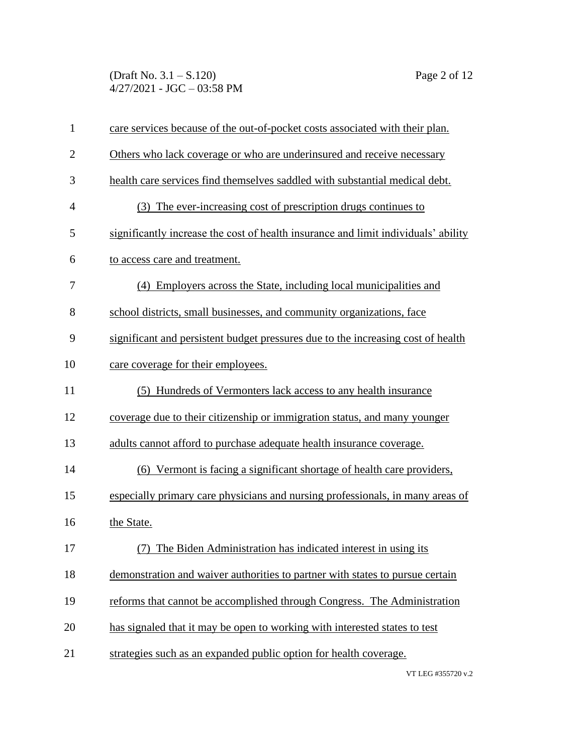(Draft No. 3.1 – S.120) Page 2 of 12  $4/27/2021$  - JGC - 03:58 PM

| $\mathbf{1}$   | care services because of the out-of-pocket costs associated with their plan.       |
|----------------|------------------------------------------------------------------------------------|
| $\overline{2}$ | Others who lack coverage or who are underinsured and receive necessary             |
| 3              | health care services find themselves saddled with substantial medical debt.        |
| $\overline{4}$ | (3) The ever-increasing cost of prescription drugs continues to                    |
| 5              | significantly increase the cost of health insurance and limit individuals' ability |
| 6              | to access care and treatment.                                                      |
| 7              | (4) Employers across the State, including local municipalities and                 |
| 8              | school districts, small businesses, and community organizations, face              |
| 9              | significant and persistent budget pressures due to the increasing cost of health   |
| 10             | care coverage for their employees.                                                 |
| 11             | (5) Hundreds of Vermonters lack access to any health insurance                     |
| 12             | coverage due to their citizenship or immigration status, and many younger          |
| 13             | adults cannot afford to purchase adequate health insurance coverage.               |
| 14             | (6) Vermont is facing a significant shortage of health care providers,             |
| 15             | especially primary care physicians and nursing professionals, in many areas of     |
| 16             | the State.                                                                         |
| 17             | (7) The Biden Administration has indicated interest in using its                   |
| 18             | demonstration and waiver authorities to partner with states to pursue certain      |
| 19             | reforms that cannot be accomplished through Congress. The Administration           |
| 20             | has signaled that it may be open to working with interested states to test         |
| 21             | strategies such as an expanded public option for health coverage.                  |
|                |                                                                                    |

VT LEG #355720 v.2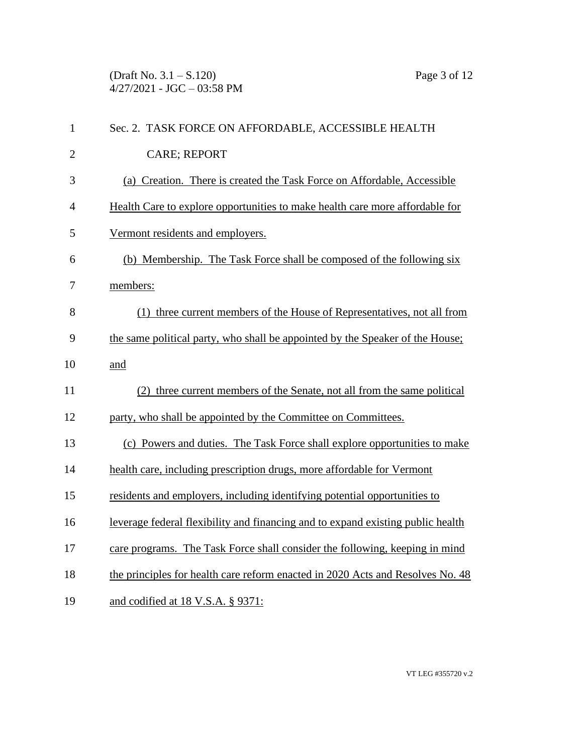(Draft No. 3.1 – S.120) Page 3 of 12  $4/27/2021$  - JGC - 03:58 PM

| $\mathbf{1}$   | Sec. 2. TASK FORCE ON AFFORDABLE, ACCESSIBLE HEALTH                             |
|----------------|---------------------------------------------------------------------------------|
| $\overline{2}$ | <b>CARE; REPORT</b>                                                             |
| 3              | (a) Creation. There is created the Task Force on Affordable, Accessible         |
| $\overline{4}$ | Health Care to explore opportunities to make health care more affordable for    |
| 5              | Vermont residents and employers.                                                |
| 6              | (b) Membership. The Task Force shall be composed of the following six           |
| 7              | members:                                                                        |
| 8              | (1) three current members of the House of Representatives, not all from         |
| 9              | the same political party, who shall be appointed by the Speaker of the House;   |
| 10             | and                                                                             |
| 11             | (2) three current members of the Senate, not all from the same political        |
| 12             | party, who shall be appointed by the Committee on Committees.                   |
| 13             | (c) Powers and duties. The Task Force shall explore opportunities to make       |
| 14             | health care, including prescription drugs, more affordable for Vermont          |
| 15             | residents and employers, including identifying potential opportunities to       |
| 16             | leverage federal flexibility and financing and to expand existing public health |
| 17             | care programs. The Task Force shall consider the following, keeping in mind     |
| 18             | the principles for health care reform enacted in 2020 Acts and Resolves No. 48  |
| 19             | and codified at 18 V.S.A. § 9371:                                               |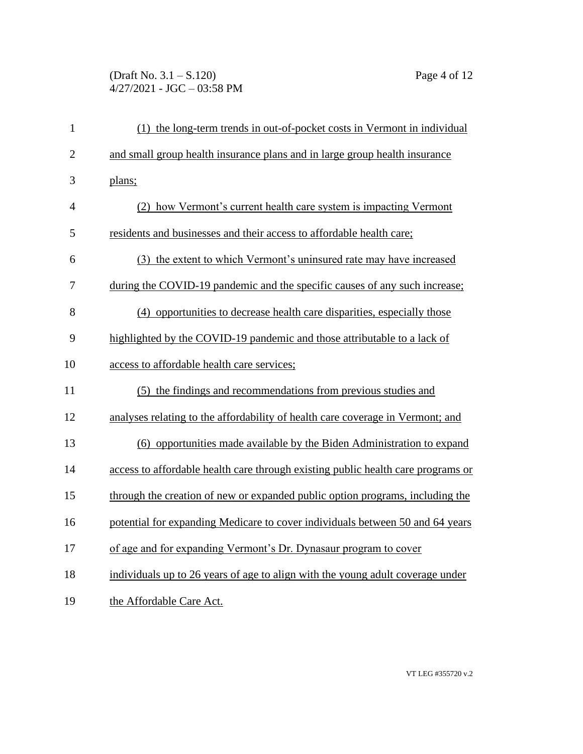## (Draft No. 3.1 – S.120) Page 4 of 12  $4/27/2021$  - JGC - 03:58 PM

| $\mathbf{1}$   | (1) the long-term trends in out-of-pocket costs in Vermont in individual         |
|----------------|----------------------------------------------------------------------------------|
| $\overline{2}$ | and small group health insurance plans and in large group health insurance       |
| 3              | plans;                                                                           |
| $\overline{4}$ | (2) how Vermont's current health care system is impacting Vermont                |
| 5              | residents and businesses and their access to affordable health care;             |
| 6              | (3) the extent to which Vermont's uninsured rate may have increased              |
| 7              | during the COVID-19 pandemic and the specific causes of any such increase;       |
| 8              | (4) opportunities to decrease health care disparities, especially those          |
| 9              | highlighted by the COVID-19 pandemic and those attributable to a lack of         |
| 10             | access to affordable health care services;                                       |
| 11             | (5) the findings and recommendations from previous studies and                   |
| 12             | analyses relating to the affordability of health care coverage in Vermont; and   |
| 13             | (6) opportunities made available by the Biden Administration to expand           |
| 14             | access to affordable health care through existing public health care programs or |
| 15             | through the creation of new or expanded public option programs, including the    |
| 16             | potential for expanding Medicare to cover individuals between 50 and 64 years    |
| 17             | of age and for expanding Vermont's Dr. Dynasaur program to cover                 |
| 18             | individuals up to 26 years of age to align with the young adult coverage under   |
| 19             | the Affordable Care Act.                                                         |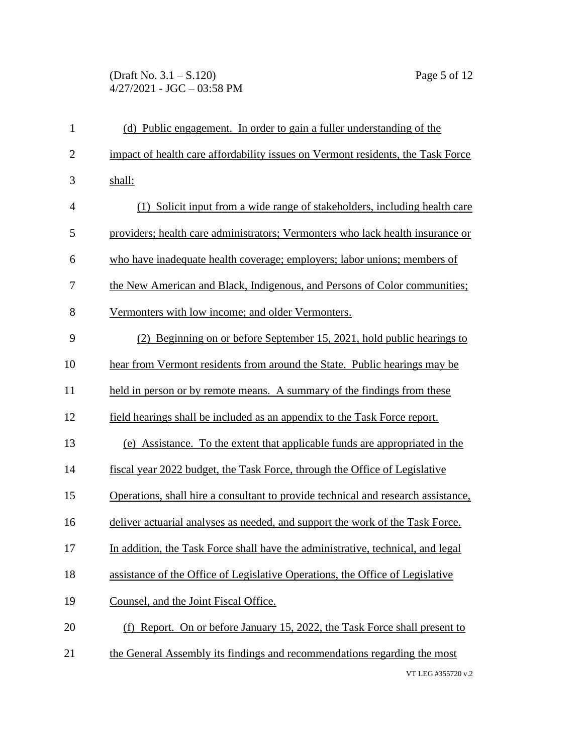## (Draft No. 3.1 – S.120) Page 5 of 12  $4/27/2021$  - JGC - 03:58 PM

| $\mathbf{1}$   | (d) Public engagement. In order to gain a fuller understanding of the             |
|----------------|-----------------------------------------------------------------------------------|
| $\overline{2}$ | impact of health care affordability issues on Vermont residents, the Task Force   |
| 3              | shall:                                                                            |
| $\overline{4}$ | (1) Solicit input from a wide range of stakeholders, including health care        |
| 5              | providers; health care administrators; Vermonters who lack health insurance or    |
| 6              | who have inadequate health coverage; employers; labor unions; members of          |
| 7              | the New American and Black, Indigenous, and Persons of Color communities;         |
| 8              | Vermonters with low income; and older Vermonters.                                 |
| 9              | (2) Beginning on or before September 15, 2021, hold public hearings to            |
| 10             | hear from Vermont residents from around the State. Public hearings may be         |
| 11             | held in person or by remote means. A summary of the findings from these           |
| 12             | field hearings shall be included as an appendix to the Task Force report.         |
| 13             | (e) Assistance. To the extent that applicable funds are appropriated in the       |
| 14             | fiscal year 2022 budget, the Task Force, through the Office of Legislative        |
| 15             | Operations, shall hire a consultant to provide technical and research assistance, |
| 16             | deliver actuarial analyses as needed, and support the work of the Task Force.     |
| 17             | In addition, the Task Force shall have the administrative, technical, and legal   |
| 18             | assistance of the Office of Legislative Operations, the Office of Legislative     |
| 19             | Counsel, and the Joint Fiscal Office.                                             |
| 20             | (f) Report. On or before January 15, 2022, the Task Force shall present to        |
| 21             | the General Assembly its findings and recommendations regarding the most          |
|                | VT LEG #355720 v.2                                                                |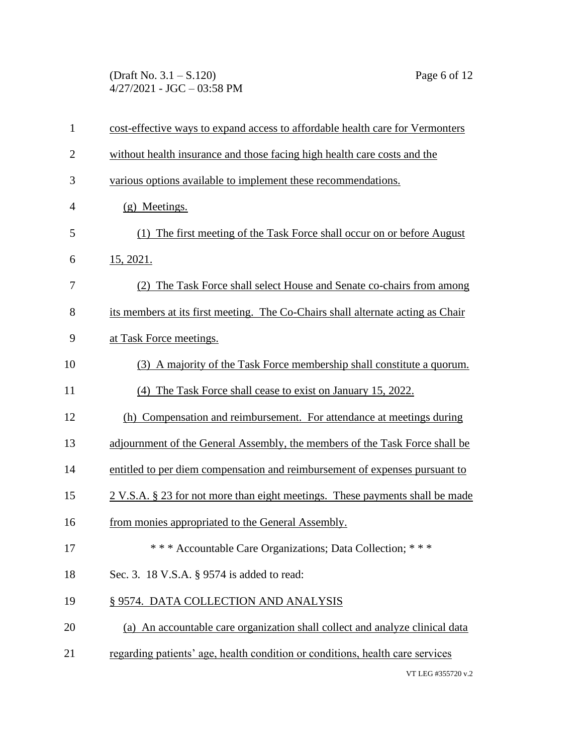(Draft No. 3.1 – S.120) Page 6 of 12  $4/27/2021$  - JGC - 03:58 PM

| $\mathbf{1}$   | cost-effective ways to expand access to affordable health care for Vermonters            |
|----------------|------------------------------------------------------------------------------------------|
| $\overline{2}$ | without health insurance and those facing high health care costs and the                 |
| 3              | various options available to implement these recommendations.                            |
| $\overline{4}$ | (g) Meetings.                                                                            |
| 5              | (1) The first meeting of the Task Force shall occur on or before August                  |
| 6              | 15, 2021.                                                                                |
| 7              | (2) The Task Force shall select House and Senate co-chairs from among                    |
| 8              | its members at its first meeting. The Co-Chairs shall alternate acting as Chair          |
| 9              | at Task Force meetings.                                                                  |
| 10             | (3) A majority of the Task Force membership shall constitute a quorum.                   |
| 11             | (4) The Task Force shall cease to exist on January 15, 2022.                             |
| 12             | (h) Compensation and reimbursement. For attendance at meetings during                    |
| 13             | adjournment of the General Assembly, the members of the Task Force shall be              |
| 14             | entitled to per diem compensation and reimbursement of expenses pursuant to              |
| 15             | $2 \text{ V.S.A. }$ \$ 23 for not more than eight meetings. These payments shall be made |
| 16             | from monies appropriated to the General Assembly.                                        |
| 17             | *** Accountable Care Organizations; Data Collection; ***                                 |
| 18             | Sec. 3. 18 V.S.A. § 9574 is added to read:                                               |
| 19             | § 9574. DATA COLLECTION AND ANALYSIS                                                     |
| 20             | (a) An accountable care organization shall collect and analyze clinical data             |
| 21             | regarding patients' age, health condition or conditions, health care services            |
|                | VT LEG #355720 v.2                                                                       |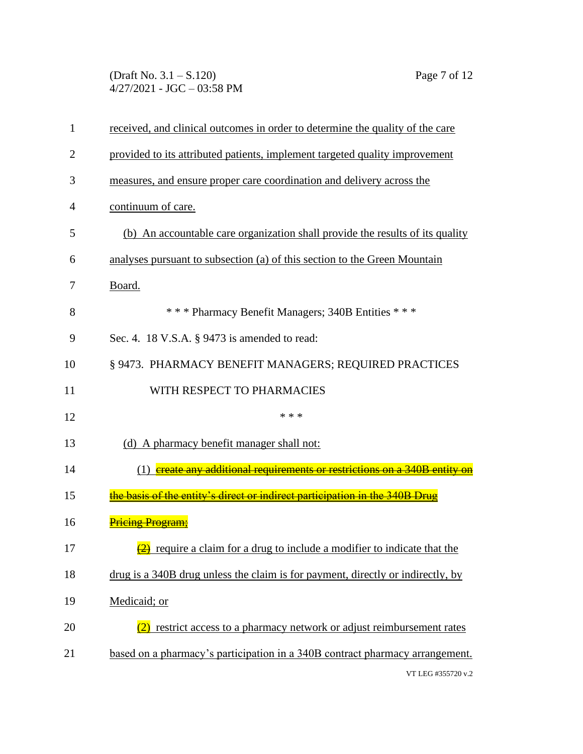(Draft No. 3.1 – S.120) Page 7 of 12  $4/27/2021$  - JGC - 03:58 PM

| $\mathbf{1}$   | received, and clinical outcomes in order to determine the quality of the care       |
|----------------|-------------------------------------------------------------------------------------|
| $\overline{2}$ | provided to its attributed patients, implement targeted quality improvement         |
| 3              | measures, and ensure proper care coordination and delivery across the               |
| 4              | continuum of care.                                                                  |
| 5              | (b) An accountable care organization shall provide the results of its quality       |
| 6              | analyses pursuant to subsection (a) of this section to the Green Mountain           |
| 7              | Board.                                                                              |
| 8              | *** Pharmacy Benefit Managers; 340B Entities ***                                    |
| 9              | Sec. 4. 18 V.S.A. § 9473 is amended to read:                                        |
| 10             | § 9473. PHARMACY BENEFIT MANAGERS; REQUIRED PRACTICES                               |
| 11             | WITH RESPECT TO PHARMACIES                                                          |
| 12             | * * *                                                                               |
| 13             | (d) A pharmacy benefit manager shall not:                                           |
| 14             |                                                                                     |
|                | (1) ereate any additional requirements or restrictions on a 340B entity on          |
| 15             | the basis of the entity's direct or indirect participation in the 340B Drug         |
| 16             | <b>Pricing Program:</b>                                                             |
| 17             | $\frac{2}{2}$ require a claim for a drug to include a modifier to indicate that the |
| 18             | drug is a 340B drug unless the claim is for payment, directly or indirectly, by     |
| 19             | Medicaid; or                                                                        |
| 20             | (2) restrict access to a pharmacy network or adjust reimbursement rates             |
| 21             | based on a pharmacy's participation in a 340B contract pharmacy arrangement.        |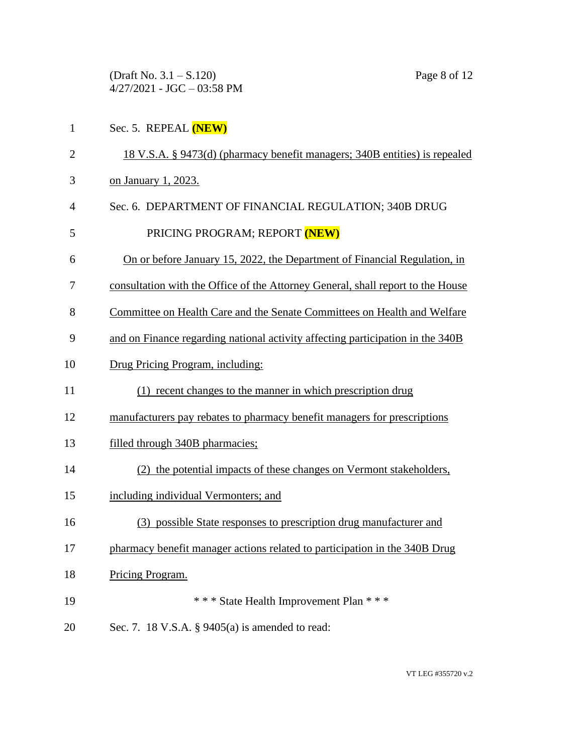(Draft No. 3.1 – S.120) Page 8 of 12 4/27/2021 - JGC – 03:58 PM

- Sec. 5. REPEAL **(NEW)**
- 18 V.S.A. § 9473(d) (pharmacy benefit managers; 340B entities) is repealed
- on January 1, 2023.
- Sec. 6. DEPARTMENT OF FINANCIAL REGULATION; 340B DRUG
- 5 PRICING PROGRAM; REPORT **(NEW)**
- On or before January 15, 2022, the Department of Financial Regulation, in
- consultation with the Office of the Attorney General, shall report to the House
- Committee on Health Care and the Senate Committees on Health and Welfare
- and on Finance regarding national activity affecting participation in the 340B
- Drug Pricing Program, including:
- (1) recent changes to the manner in which prescription drug
- 12 manufacturers pay rebates to pharmacy benefit managers for prescriptions
- filled through 340B pharmacies;
- (2) the potential impacts of these changes on Vermont stakeholders,
- including individual Vermonters; and
- (3) possible State responses to prescription drug manufacturer and
- pharmacy benefit manager actions related to participation in the 340B Drug
- Pricing Program.
- \* \* \* State Health Improvement Plan \* \* \*
- Sec. 7. 18 V.S.A. § 9405(a) is amended to read: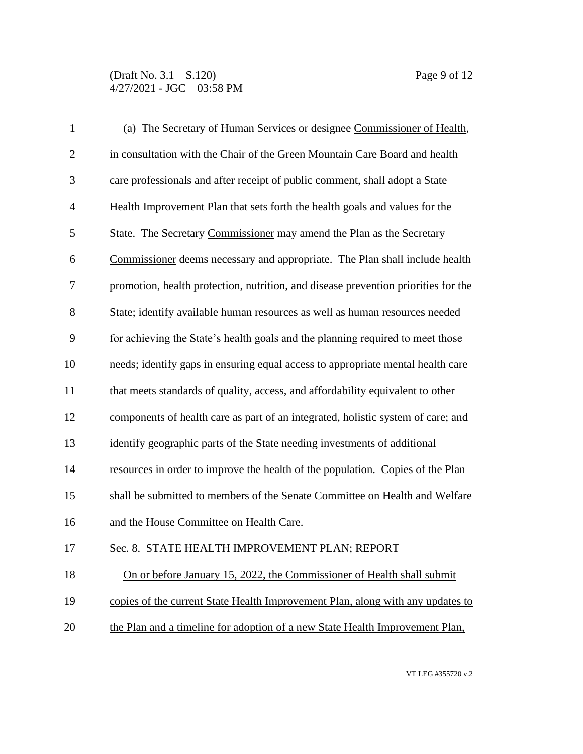(Draft No. 3.1 – S.120) Page 9 of 12  $4/27/2021$  - JGC - 03:58 PM

| $\mathbf{1}$   | (a) The Secretary of Human Services or designee Commissioner of Health,            |
|----------------|------------------------------------------------------------------------------------|
| $\overline{2}$ | in consultation with the Chair of the Green Mountain Care Board and health         |
| 3              | care professionals and after receipt of public comment, shall adopt a State        |
| $\overline{4}$ | Health Improvement Plan that sets forth the health goals and values for the        |
| 5              | State. The Secretary Commissioner may amend the Plan as the Secretary              |
| 6              | Commissioner deems necessary and appropriate. The Plan shall include health        |
| 7              | promotion, health protection, nutrition, and disease prevention priorities for the |
| 8              | State; identify available human resources as well as human resources needed        |
| 9              | for achieving the State's health goals and the planning required to meet those     |
| 10             | needs; identify gaps in ensuring equal access to appropriate mental health care    |
| 11             | that meets standards of quality, access, and affordability equivalent to other     |
| 12             | components of health care as part of an integrated, holistic system of care; and   |
| 13             | identify geographic parts of the State needing investments of additional           |
| 14             | resources in order to improve the health of the population. Copies of the Plan     |
| 15             | shall be submitted to members of the Senate Committee on Health and Welfare        |
| 16             | and the House Committee on Health Care.                                            |
| 17             | Sec. 8. STATE HEALTH IMPROVEMENT PLAN; REPORT                                      |
| 18             | On or before January 15, 2022, the Commissioner of Health shall submit             |
| 19             | copies of the current State Health Improvement Plan, along with any updates to     |
| 20             | the Plan and a timeline for adoption of a new State Health Improvement Plan,       |
|                |                                                                                    |

VT LEG #355720 v.2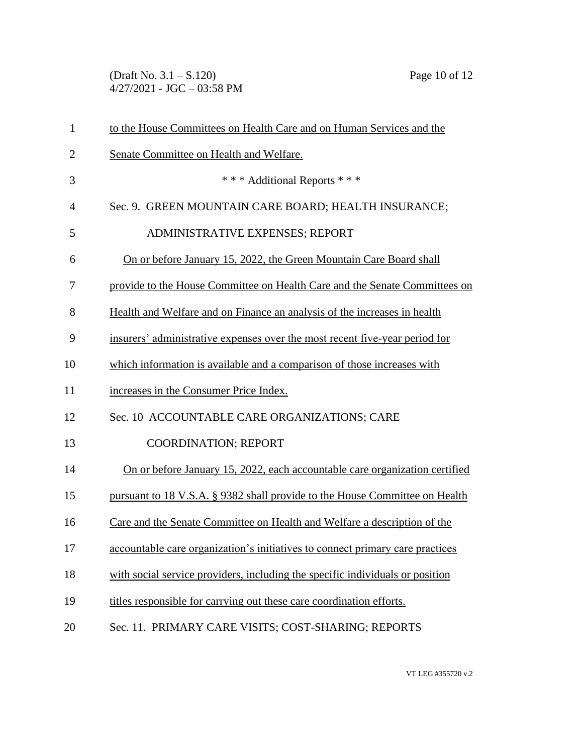(Draft No. 3.1 – S.120) Page 10 of 12  $4/27/2021$  - JGC - 03:58 PM

| $\mathbf{1}$   | to the House Committees on Health Care and on Human Services and the          |
|----------------|-------------------------------------------------------------------------------|
| $\overline{2}$ | Senate Committee on Health and Welfare.                                       |
| 3              | *** Additional Reports ***                                                    |
| $\overline{4}$ | Sec. 9. GREEN MOUNTAIN CARE BOARD; HEALTH INSURANCE;                          |
| 5              | ADMINISTRATIVE EXPENSES; REPORT                                               |
| 6              | On or before January 15, 2022, the Green Mountain Care Board shall            |
| 7              | provide to the House Committee on Health Care and the Senate Committees on    |
| 8              | Health and Welfare and on Finance an analysis of the increases in health      |
| 9              | insurers' administrative expenses over the most recent five-year period for   |
| 10             | which information is available and a comparison of those increases with       |
| 11             | increases in the Consumer Price Index.                                        |
| 12             | Sec. 10 ACCOUNTABLE CARE ORGANIZATIONS; CARE                                  |
| 13             | COORDINATION; REPORT                                                          |
| 14             | On or before January 15, 2022, each accountable care organization certified   |
| 15             | pursuant to 18 V.S.A. § 9382 shall provide to the House Committee on Health   |
| 16             | Care and the Senate Committee on Health and Welfare a description of the      |
| 17             | accountable care organization's initiatives to connect primary care practices |
| 18             | with social service providers, including the specific individuals or position |
| 19             | titles responsible for carrying out these care coordination efforts.          |
| 20             | Sec. 11. PRIMARY CARE VISITS; COST-SHARING; REPORTS                           |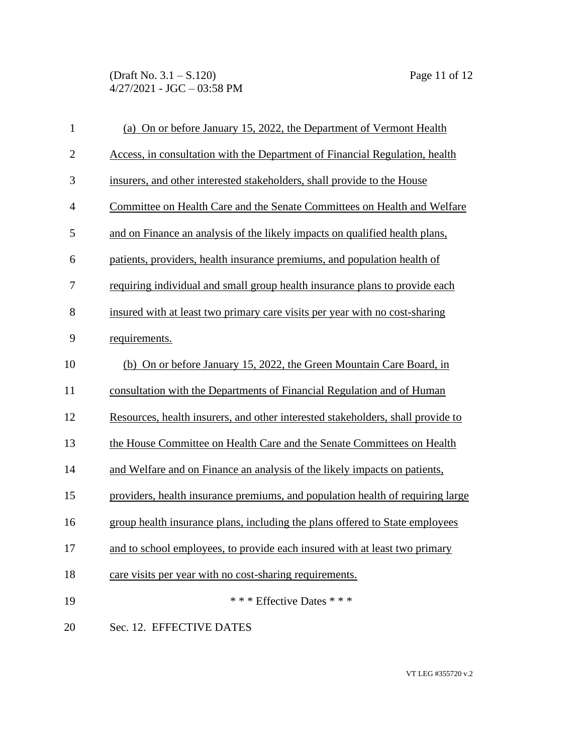(Draft No. 3.1 – S.120) Page 11 of 12  $4/27/2021 - JGC - 03:58 PM$ 

| $\mathbf{1}$   | (a) On or before January 15, 2022, the Department of Vermont Health             |
|----------------|---------------------------------------------------------------------------------|
| $\overline{2}$ | Access, in consultation with the Department of Financial Regulation, health     |
| 3              | insurers, and other interested stakeholders, shall provide to the House         |
| $\overline{4}$ | Committee on Health Care and the Senate Committees on Health and Welfare        |
| 5              | and on Finance an analysis of the likely impacts on qualified health plans,     |
| 6              | patients, providers, health insurance premiums, and population health of        |
| 7              | requiring individual and small group health insurance plans to provide each     |
| 8              | insured with at least two primary care visits per year with no cost-sharing     |
| 9              | requirements.                                                                   |
| 10             | (b) On or before January 15, 2022, the Green Mountain Care Board, in            |
| 11             | consultation with the Departments of Financial Regulation and of Human          |
| 12             | Resources, health insurers, and other interested stakeholders, shall provide to |
| 13             | the House Committee on Health Care and the Senate Committees on Health          |
| 14             | and Welfare and on Finance an analysis of the likely impacts on patients,       |
| 15             | providers, health insurance premiums, and population health of requiring large  |
| 16             | group health insurance plans, including the plans offered to State employees    |
| 17             | and to school employees, to provide each insured with at least two primary      |
| 18             | care visits per year with no cost-sharing requirements.                         |
| 19             | * * * Effective Dates * * *                                                     |
| 20             | Sec. 12. EFFECTIVE DATES                                                        |

VT LEG #355720 v.2